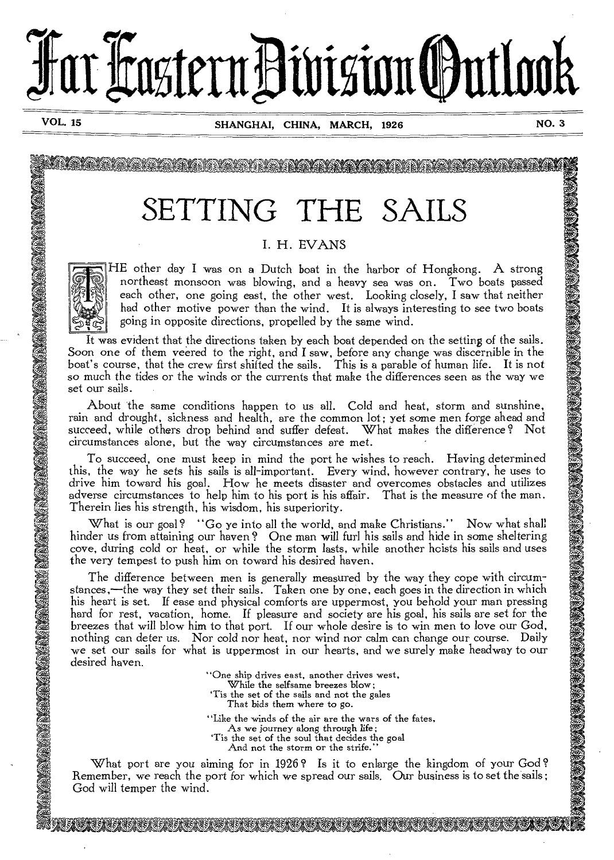# Far Fastern Division (Putlook

**VOL. 15 SHANGHAI, CHINA, MARCH, 1926 NO. 3** 

**A4S. . .W0<sup>4</sup>64.** 

# SETTING THE SAILS

# I. H. EVANS



**F.** 

HE other day I was on a Dutch boat in the harbor of Hongkong. A strong northeast monsoon was blowing, and a heavy sea was on. Two boats passed each other, one going east, the other west. Looking closely, I saw that neither had other motive power than the wind. It is always interesting to see two boats going in opposite directions, propelled by the same wind.

It was evident that the directions taken by each boat depended on the setting of the sails. Soon one of them veered to the right, and I saw, before any change was discernible in the boat's course, that the crew first shifted the sails. This is a parable of human life. It is not so much the tides or the winds or the currents that make the differences seen as the way we set our sails.

succeed, while others drop behind and suffer defeat. What makes the difference ? Not circumstances alone, but the way circumstances are met.

To succeed, one must keep in mind the port he wishes to reach. Having determined this, the way he sets his sails is all-important. Every wind, however contrary, he uses to drive him toward his goal. How he meets disaster and overcomes obstacles and utilizes adverse circumstances to help him to his port is his affair. That is the measure of the man. Therein lies his strength, his wisdom, his superiority.

What is our goal? "Go ye into all the world, and make Christians." Now what shall hinder us from attaining our haven ? One man will furl his *sails* and hide in *some* sheltering cove, during cold or heat, or while the storm lasts, while another hoists his sails and uses the very tempest to push him on toward his desired haven.

About the same conditions happen to us all. Cold and heat, storm and sunshine, succeed, while others are one head and heath, are the common lot; yet some men forge ahead and suffer common lot; yet some men forge ahead and The difference between men is generally measured by the way they cope with circumstances,--the way they set their sails. Taken one by one, each goes in the direction in which his heart is set. If ease and physical comforts are uppermost, you behold your man pressing hard for rest, vacation, home. If pleasure and society are his goal, his sails are set for the breezes that will blow him to that port. If our whole desire is to win men to love our God, nothing can deter us. Nor cold nor heat, nor wind nor calm can change our course. Daily we set our sails for what is uppermost in our hearts, and we surely make headway to our desired haven.

"One ship drives east, another drives west, While the selfsame breezes blow; `Tis the set of the sails and not the gales That bids them where to go.

"Like the winds of the air are the wars of the fates,

As we journey along through life; `Tis the set of the soul that decides the goal

And not the storm or the strife.'

IN IN THE TABLE IS A RELATION OF THE LAND OF THE UNITED STATES OF THE UNITED STATES OF THE UNITED STATES OF TH

What port are you aiming for in 1926? Is it to enlarge the kingdom of your God? Remember, we reach the port for which we spread our sails. Our business is to set the sails; God will temper the wind.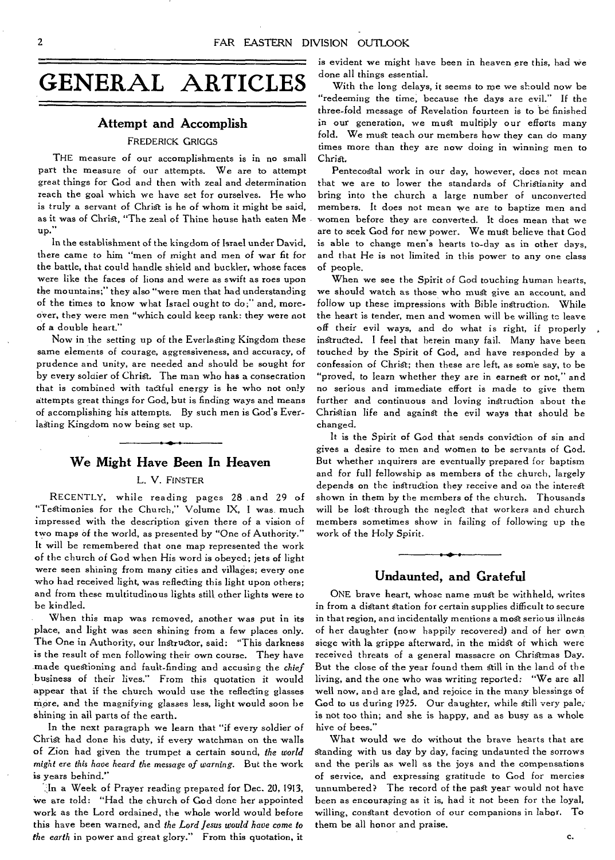# **Attempt and Accomplish**

#### FREDERICK GRIGGS

THE measure of our accomplishments is in no small part the measure of our attempts. We are to attempt great things for God and then with zeal and determination reach the goal which we have set for ourselves. He who is truly a servant of Christ is he of whom it might be said, as it was of Christ, "The zeal of Thine house hath eaten Me up.

In the establishment of the kingdom of Israel under David, there came to him "men of might and men of war fit for the battle, that could handle shield and buckler, whose faces were like the faces of lions and were as swift as roes upon the mountains;" they also "were men that had understanding of the times to know what Israel ought to do;" and, moreover, they were men "which could keep rank: they were not of a double heart."

Now in the setting up of the Everlasting Kingdom these same elements of courage, aggressiveness, and accuracy, of prudence and unity, are needed and should be sought for by every solaier of Christ. The man who has a consecration that is combined with tactful energy is he who not only attempts great things for God, but is finding ways and means of accomplishing his attempts. By such men is God's Everlasting Kingdom now being set up.

#### **We Might Have Been In Heaven**

#### L. V. FINSTER

RECENTLY, while reading pages 28 and 29 of "Testimonies for the Church," Volume IX, I was much impressed with the description given there of a vision of two maps of the world, as presented by "One of Authority." It will be remembered that one map represented the work of the church of God when His word is obeyed; jets of light were seen shining from many cities and villages; every one who had received light, was reflecting this light upon others; and from these multitudinous lights still, other lights were to be kindled.

When this map was removed, another was put in its place, and light was seen shining from a few places only. The One in Authority, our Instructor, said: "This darkness is the result of men following their own course. They have made questioning and fault-finding and accusing the *chief*  business of their lives." From this quotation it would appear that if the church would use the reflecting glasses more, and the magnifying glasses less, light would soon be shining in all parts of the earth.

In the next paragraph we learn that "if every soldier of Christ had done his duty, if every watchman on the walls of Zion had given the trumpet a certain sound, *the world might ere this have heard the* message *of warning.* But the work is years behind."

`;,In a Week of Prayer reading prepared for Dec. 20, 1913, we are told: "Had the church of God done her appointed work as the Lord ordained, the whole world would before this have been warned, and *the Lord Jesus would have come to the earth* in power and great glory." From this quotation, it is evident we might have been in heaven ere this, had we done all things essential.

With the long delays, it seems to me we should now be "redeeming the time, because the days are evil." If the three-fold message of Revelation fourteen is to be finished in our generation, we must multiply our efforts many fold. We must teach our members how they can do many times more than they are now doing in winning men to Christ.

Pentecostal work in our day, however, does not mean that we are to lower the standards of Christianity and bring into the church a large number of unconverted members. It does not mean we are to baptize men and women before they are converted. It does mean that we are to seek God for new power. We must believe that God is able to change men's hearts to-day as in other days, and that He is not limited in this power to any one class of people.

When we *see* the Spirit of God touching human hearts, we should watch as those who must give an account, and follow up these impressions with Bible instruction. While the heart is tender, men and women will be willing tc leave off their evil ways, and do what is right, if properly instructed. I feel that herein many fail. Many have been touched by the Spirit of God, and have responded by a confession of Christ; then these are left, as some say, to be "proved, to learn whether they are in earnest or not," and no serious and immediate effort is made to give them further and continuous and loving instruction about the Christian life and against the evil ways that should be changed.

It is the Spirit of God that sends conviction of sin and gives a desire to men and women to be servants of God. But whether inquirers are eventually prepared for baptism and for full fellowship as members of the church, largely depends on the instruction they receive and on the interest shown in them by the members of the church. Thousands will be lost through the neglect that workers and church members sometimes show in failing of following up the work of the Holy Spirit.

#### **Undaunted, and Grateful**

ONE brave heart, whose name must be withheld, writes in from a distant station for certain supplies difficult to secure in that region, and incidentally mentions a most serious illness of her daughter (now happily recovered) and of her own siege with la grippe afterward, in the midst of which were received threats of a general massacre on Christmas Day. But the close of the year found them still in the land of the living, and the one who was writing reported: "We are all well now, and are glad, and rejoice in the many blessings of God to us during 1925. Our daughter, while still *very* pale,. is not too thin; and she is happy, and as busy as a whole hive of bees."

What would we do without the brave hearts that are Standing with us day by day, facing undaunted the sorrows and the perils as well as the joys and the compensations of service, and expressing gratitude to God for mercies unnumbered? The record of the past year would not have been as encouraging as it is, had it not been for the loyal, willing, constant devotion of our companions in labor. To them be all honor and praise.

c.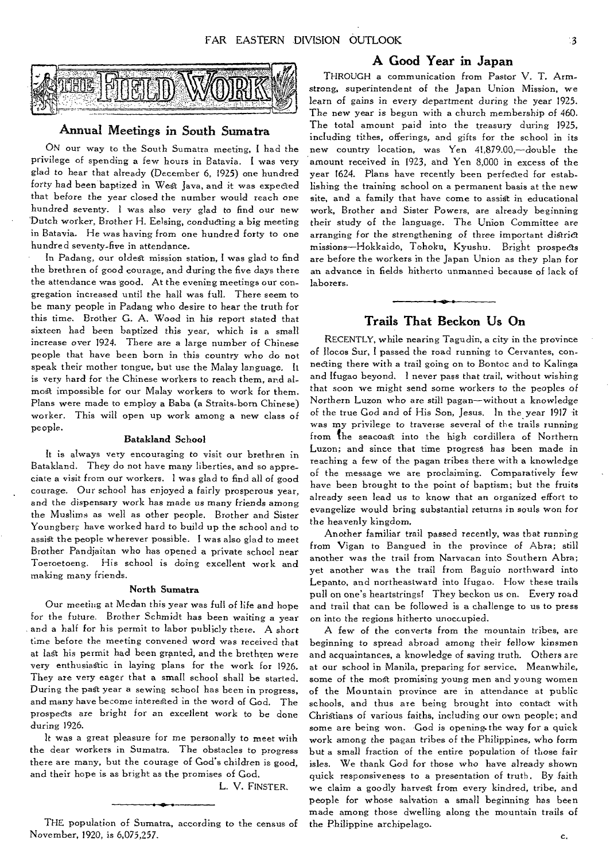

#### Annual Meetings in South Sumatra

ON our way to the South Sumatra meeting, I had the privilege of spending a few hours in Batavia. I was very glad to hear that already (December 6, 1925) one hundred forty had been baptized in West Java, and it was expected that before the year closed the number would reach one hundred seventy. I was also *very* glad to find our new Dutch worker, Brother H. Eelsing, conducting a big meeting in Batavia. He was having from one hundred forty to one hundred seventy-five in attendance.

In Padang, our oldest mission station, I was glad to find the brethren of good courage, and during the five days there the attendance was good. At the evening meetings our congregation increased until the hall was full. There seem to be many people in Padang who desire to hear the truth for this time. Brother G. A. Wood in his report stated that sixteen had been baptized this year, which is a small increase over 1924. There are a large number of Chinese people that have been born in this country who do not speak their mother tongue, but use the Malay language. It is very hard for the Chinese workers to reach them, and almost impossible for our Malay workers to work for them. Plans were made to employ a Baba (a Straits-born Chinese) worker. This will open up work among a new class of people.

#### Batakland School

It is always very encouraging to visit our brethren in Batakland. They do not have many liberties, and so appreciate a visit from our workers. I was glad to find all of good courage. Our school has enjoyed a fairly prosperous year, and the dispensary work has made us many friends among the Muslims as well as other people. Brother and Sister Youngberg have worked hard to build up the school and to assist the people wherever possible. I was also glad to meet Brother Pandjaitan who has opened a private school near Toeroetoeng. His school is doing excellent work and making many friends.

#### North Sumatra

Our meeting at Medan this year was full of life and hope for the future. Brother Schmidt has been waiting a year and a half for his permit to labor publicly there. A short time before the meeting convened word was received that at last his permit had been granted, and the brethren were very enthusiastic in laying plans for the work for 1926. They are very eager that a small school shall be started. During the past year a sewing school has been in progress, and many have become interested in the word of God. The prospects are bright *for* an excellent work to be done during 1926.

It was a great pleasure for me personally to meet with the dear workers in Sumatra. The obstacles to progress there are many, but the courage of God's children is good, and their hope is as bright as the promises of God.

L. V. FINSTER.

#### A Good Year in Japan

THROUGH a communication from Pastor V. T. Armstrong, superintendent of the Japan Union Mission, we learn *of* gains in every department during the year 1925. The new year is begun with a church membership of 460. The total amount paid into the treasury during 1925, including tithes, offerings, and gifts for the school in its new country location, was Yen 41,879.00,—double the amount received in 1923, and Yen 3,000 in excess of the year 1624. Plans have recently been perfected for establishing the training school on a permanent basis at the new site, and a family that have come to assist in educational work, Brother and Sister Powers, are already beginning their study of the language. The Union Committee are arranging for the strengthening of three important district missions—Hokkaido, Tohoku, Kyushu. Bright prospects are before the workers in the Japan Union as they plan for an advance in fields hitherto unmanned because of lack of laborers.

#### Trails That Beckon Us On

RECENTLY, while nearing Tagudin, a city in the province of Ilocos Sur, I passed the road running to Cervantes, connecting there with a trail going on to Bontoc and to Kalinga and Ifugao beyond. I never pass that trail, without wishing that soon we might send some workers *to* the peoples of Northern Luzon who are still pagan—without a knowledge of the true God and of His Son, Jesus. In the year 1917 it was my privilege to traverse several of the trails running from the seacoast into the high cordillera of Northern Luzon; and since that time progress has been made in reaching a few of the pagan tribes there with a knowledge of the message we are proclaiming. Comparatively few have been brought to the point of baptism; but the fruits already seen lead us to know that an organized effort to evangelize would bring substantial returns in souls won *for*  the heavenly kingdom.

Another familiar trail passed recently, was that running from Vigan to Bangued in the province of Abra; still another was the trail from Narvacan into Southern Abra; *yet* another was the trail from Baguio northward into Lepanto, and northeastward into Ifugao. How these trails pull on one's heartstrings! They beckon us on. Every road and trail that can be followed is a challenge to us to press on into the regions hitherto unoccupied.

A few of the converts from the mountain tribes, are beginning to spread abroad among their fellow kinsmen and acquaintances, a knowledge of saving truth. Others are at our school in Manila, preparing for service. Meanwhile, some of the most promising young men and young women of the Mountain province are in attendance at public schools, and thus are being brought into contact with Christians of various faiths, including our own people; and some are being won. God is opening.the way for a quick work among the pagan tribes of the Philippines, who form but a small fraction of the entire population of those fair *isles.* We thank God for those who have already shown quick responsiveness to a presentation of truth. By faith we claim a goodly harvest from every kindred, tribe, and people for whose salvation a small beginning has been made among those dwelling along the mountain trails of the Philippine archipelago.

THE population of Sumatra, according to the census of November, 1920, is 6,075,257.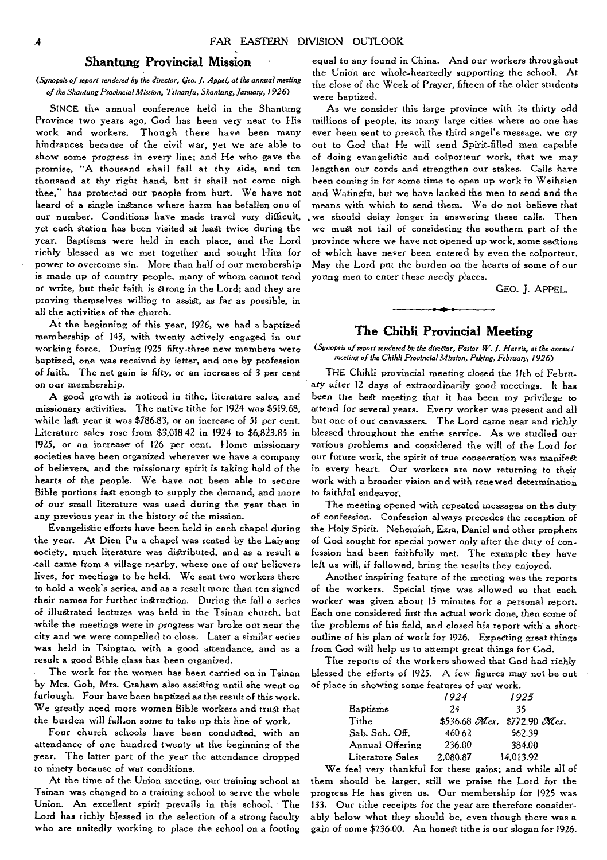# **Shantung Provincial Mission**

#### *(Synopsis of report rendered by the director, Geo. J. Appel, at the annual meeting of the Shantung Provincial Mission, Tsinanfu, Shantung, January, 1926)*

SINCE the annual conference held in the Shantung Province two years ago, God has been very near to His work and workers. Though there have been many hindrances because of the civil war, yet we are able to show some progress in every line; and He who gave the promise, "A thousand shall fall at thy side, and ten thousand at thy right hand, but it shall not come nigh thee," has protected our people from hurt. We have not heard of a single instance where harm has befallen one of our number. Conditions have made travel very difficult, yet each station has been visited at least twice during the year. Baptisms were held in each place, and the Lord richly blessed as we met together and sought Him for power to *overcome* sin. More than half of our membership is made up of country people, many of whom cannot read or write, but their faith is strong in the Lord; and they are proving themselves willing to assist, as far as possible, in all the activities of the church.

At the beginning of this year, 1926, we had a baptized membership of 143, with twenty actively engaged in our working force. During 1925 fifty-three new members were baptized, one was received by letter, and one by profession of faith. The net gain is fifty, or an increase of 3 per cent on our membership.

A good growth is noticed in tithe, literature sales, and missionary activities. The native tithe for 1924 was \$519.68, while last year it was \$786.83, or an increase of 51 per cent. Literature sales rose from  $$3,018.42$  in 1924 to  $$6,823.85$  in 1925, or an increase of 126 per cent. Home missionary societies have been organized wherever we have a company of believers, and the missionary spirit is taking hold of the hearts of the people. We have not *been* able to *secure*  Bible portions fat enough to supply the demand, and more of our small literature was used during the year than in any previous year in the history of the mission.

Evangelistic efforts have been held in each chapel during the year. At Dien Pu a chapel was rented by the Laiyang society, much literature was distributed, and as a result a call came from a village nearby, where one of our believers lives, for meetings to be held. We sent two workers there to hold a week's series, and as a result more than ten signed their names for further instruction. During the fall a series of illustrated lectures was held in the Tsinan church, but while the meetings were in progress war broke out *near* the city and we were compelled to close. Later a similar series was held in Tsingtao, with a good attendance, and as a result a good Bible class has been organized.

The work for the women has been carried on in Tsinan by Mrs. Gob, Mrs, Graham also assisting until she went on furlough. Four have been baptized as the result of this work. We greatly need more women Bible workers and trust that the burden will fall.on some to take up this line of work,

Four church schools have been conducted, with an attendance of one hundred twenty at the beginning of the year. The latter part of the year the attendance dropped to ninety because of war conditions.

At the time of the Union meeting, our training school at Tsinan was changed to a training school to serve the whole Union. An excellent spirit prevails in this school. The Lord has richly blessed in the selection of a strong faculty who are unitedly working to place the school on a footing

equal to any found in China. And our workers throughout the Union are whole-heartedly supporting the school. At the close of the Week of Prayer, fifteen of the older students were baptized.

As we consider this large province with its thirty odd millions of people, its many large cities where no one has ever been sent to preach the third angel's message, we cry out to God that He will send Spirit-filled men capable of doing evangelistic and colporteur work, that we may lengthen our cords and strengthen our stakes. Calls have been coming in for some time to open up work in Weihsien and Watingfu, but we have lacked the men to send and the means with which to send them. We do not believe that we should delay longer in answering these calls. Then we must not fail of considering the southern part of the province where we have not opened up work, some sections of which have never been entered by even the colporteur. May the Lord put the burden *on* the hearts of some of our young men to enter these needy places.

GEO. J. APPEL.

# **The Chihli Provincial Meeting**

*(Synopsis of report rendered by the direaor, Pastor W. I. Harris, at the annual meeting of the Chihli Provincial Mission, Peking, February, 1926)* 

THE Chihli provincial meeting closed the 11th of February after 12 days of extraordinarily good meetings. It has been the best meeting that it has been my privilege to attend for several years. Every worker was present and all but one of our canvassers. The Lord came near and richly blessed throughout the entire service. As we studied our various problems and considered the will of the Lord for our future work, the spirit of true consecration was manifest in every heart. Our workers are now returning to their work with a broader vision and with renewed determination to faithful endeavor.

The meeting opened with repeated messages on the duty of confession. Confession always precedes the reception of the Holy Spirit. Nehemiah, Ezra, Daniel and other prophets of God sought for special power only after the duty of confession had been faithfully met. The example they have left us will, if followed, bring the results they enjoyed.

Another inspiring feature of the meeting was the reports of the workers. Special time was allowed so that each worker was given about 15 minutes for a personal report. Each one considered first the actual work done, then some of the problems of his field, and closed his report with a short • outline of his plan of work for 1926. Expecting great things from God will help us to attempt great things for God.

The reports of the workers showed that God had richly blessed the efforts of 1925. A few figures may not be out of place in showing some features of our work.

|                  | 1924     | 1925                        |
|------------------|----------|-----------------------------|
| <b>Baptisms</b>  | 24       | 35                          |
| Tithe            |          | \$536.68 Mex. \$772.90 Mex. |
| Sab. Sch. Off.   | 460.62   | 562.39                      |
| Annual Offering  | 236.00   | 384.00                      |
| Literature Sales | 2.080.87 | 14.013.92                   |

We feel very thankful for these gains; and while all of them should be larger, still we praise the Lord for the progress He has given us. Our membership for 1925 was 133. Our tithe receipts for the year are therefore considerably below what they should be, even though there was a gain of some \$236.00. An honest tithe is our slogan for 1926.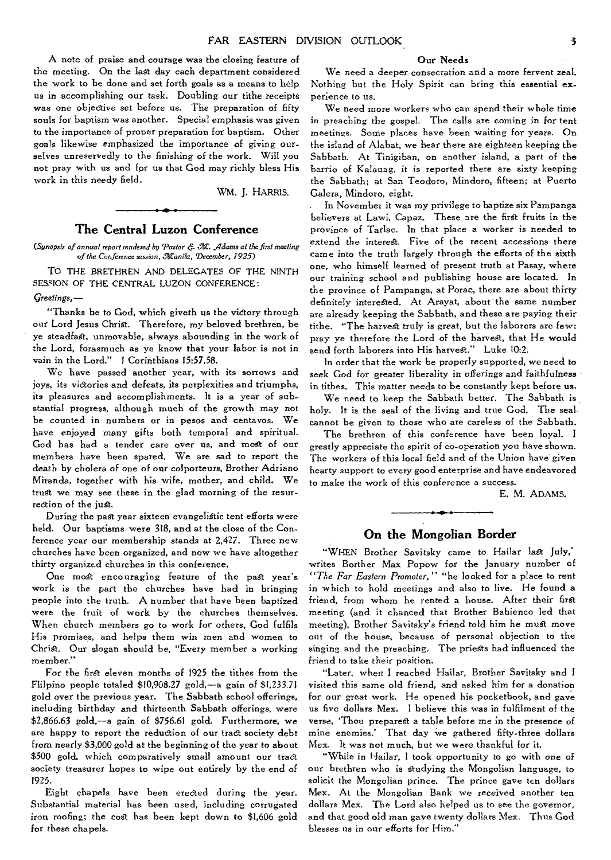A note of praise and courage was the closing feature of the meeting. On the last day each department considered the work to be done and set forth goals as a means to help us in accomplishing our task. Doubling our tithe receipts was one objective *set* before us. The preparation of fifty souls for baptism was another. Special emphasis was given to the importance of proper preparation for baptism. Other goals likewise emphasized the importance of giving ourselves unreservedly to the finishing of the work. Will you not pray with us and for us that God may richly bless His work in this needy field.

WM. J. HARRIS.

#### **The Central Luzon Conference**

*(Synopsis of annual report rendered by `Pastor 6 M. .Adams at the first meeting*  of the Conference session, Manila, December, 1925)

TO THE BRETHREN AND DELEGATES OF THE NINTH SESSION OF THE CENTRAL LUZON CONFERENCE:

*Greetings,—* 

"Thanks be to God, which giveth us the victory through our Lord Jesus Christ. Therefore, my beloved brethren, be ye steadfast, unmovable, always abounding in the work of the Lord, forasmuch as ye know that your labor is not in vain in the Lord." I Corinthians 15:57,58.

We have passed another year, with its sorrows and joys, its victories and defeats, its perplexities and triumphs, its pleasures and accomplishments. It is a year of substantial progress, although much of the growth may not be counted in numbers or in pesos and centavos. We have enjoyed many gifts both temporal and spiritual. God has had a tender care over us, and most of our members have been spared. We are sad to report the death by cholera of one of our colporteurs, Brother Adriano. Miranda, together with his wife, mother, and child. We trust we may see these in the glad morning of the resurrection of the just.

During the past year sixteen evangelistic tent efforts were held. Our baptisms were 318, and at the close of the Conference year our membership stands at 2,427. Three new churches have been organized, and now we have altogether thirty organized churches in this conference.

One most encouraging feature of the past year's work is the part the churches have had in bringing people into the truth. A number that have been baptized were the fruit of work by the churches themselves. When church members go to work for others, God fulfils His promises, and helps them win men and women to Christ. Our slogan should be, "Every member a working member."

For the first eleven months of 1925 the tithes from the Flilpino people totaled \$10,908.27 gold,—a gain of \$1,233.71 gold over the previous year. The Sabbath school offerings, including birthday and thirteenth Sabbath offerings, were \$2,866.63 gold,—a gain of \$756.61 gold. Furthermore, we are happy to report the reduction of our tract society debt from nearly \$3,000 gold at the beginning of the year to about \$500 gold, which comparatively small amount our tract society treasurer hopes to wipe out entirely by the end of 1925.

Eight chapels have been erected during the year. Substantial material has been used, including corrugated iron roofing; the cost has been kept down to \$1,606 gold for these chapels.

#### Our Needs

We need a deeper consecration and a more fervent zeal. Nothing but the Holy Spirit can bring this essential experience to us.

We need more workers who can spend their whole time in preaching the gospel. The calls are coming in for tent meetings. Some places have been waiting for years. On the island of Alabat, we hear there are eighteen keeping the Sabbath. At Tinigiban, on another island, a part of the barrio of Kalauag, it is reported there are sixty keeping the Sabbath; at San Teodoro, Mindoro, fifteen; at Puerto Galera, Mindoro, eight.

. In November it was my privilege to baptize six Pampanga believers at Lawi. Capaz. These are the first fruits in the province of Tarlac. In that place a worker is needed to extend the interest. Five of the recent accessions there came into the truth largely through the efforts of the sixth one, who himself learned of present truth at Pasay, where our training school and publishing house are located. In the province of Pampanga, at Porac, there are about thirty definitely interested, At Arayat, about the same number are already keeping the Sabbath, and these are paying their tithe. "The harvest truly *is* great, but the laborers are few: pray ye therefore the Lord of the harvest, that He would send forth laborers into His harvest." Luke 10:2.

In order that the work be properly supported, we need to seek God for greater liberality in offerings and faithfulness in tithes. This matter needs to be constantly kept before us.

We need to keep the Sabbath better. The Sabbath is holy. It *is* the seal of the living and true God. The seal cannot be given to those who are careless of the Sabbath,

The brethren of this conference have been loyal. I greatly appreciate the spirit of co-operation you have shown. The workers of this local field and of the Union have given hearty support to every good enterprise and have endeavored to make the work of this conference a success.

E. M. ADAMS.

# **On the Mongolian Border**

"WHEN Brother Savitsky came to Hailar last July,' writes Borther Max Popow for the January number of *"The Far Eastern Promoter,"* "he looked for a place to rent in which to hold meetings and also to live. He found a friend, from whom he rented a house. After their first meeting (and it chanced that Brother Babienco led that meeting), Brother Savitsky's friend told him he must move out of the house, because of personal objection to the singing and the preaching. The priests had influenced the friend to take their position.

"Later, when I reached Hailar, Brother Savitsky and I visited this same old friend, and asked him for a donation for our great work. He opened his pocketbook, and gave us five dollars Mex. I believe this was in fulfilment of the verse, 'Thou preparest a table before me in the presence of mine enemies.' That day we gathered fifty-three dollars Mex. It was not much, but we were thankful for it.

"While in Hailar, I took opportunity to go with one of our brethren who is studying the Mongolian language, to solicit the Mongolian prince. The prince gave ten dollars Mex. At the Mongolian Bank we received another ten dollars Mex. The Lord also helped us to see the governor, and that good old man gave twenty dollars Mex. Thus God blesses us in our efforts for Him."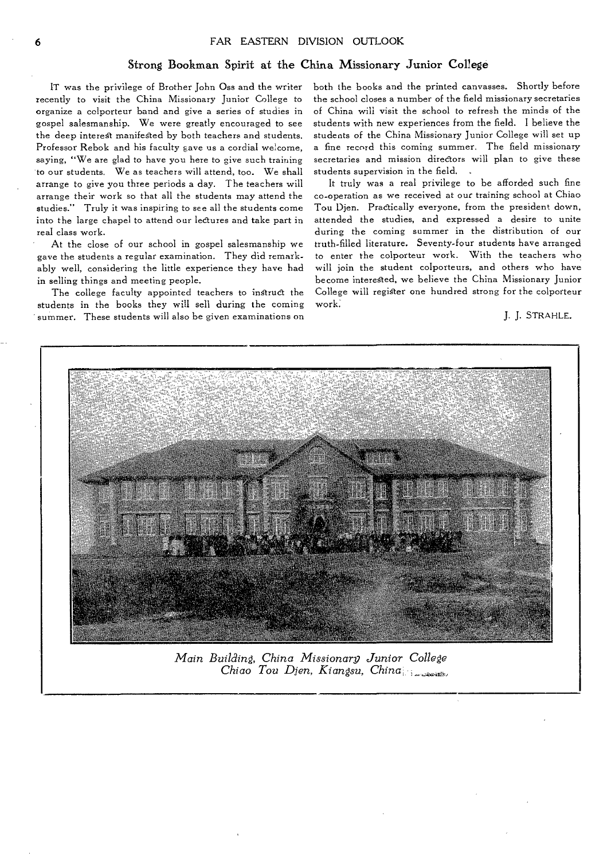## **Strong Bookman Spirit at the China Missionary Junior College**

**IT was the privilege of Brother John Oss and the writer recently to visit the China Missionary Junior College to organize a colporteur band and give a series of studies in gospel salesmanship. We were greatly encouraged to see the deep interest manifested by both teachers and students. Professor Rebok and his faculty gave us a cordial welcome, saying, "We are glad to have you here to give such training to our students. We as teachers will attend, too. We shall arrange to give you three periods a day. The teachers will arrange their work so that all the students may attend the studies." Truly it was inspiring to see all the students come into the large chapel to attend our lectures and take part in real class work.** 

**At the close of our school in gospel salesmanship we gave the students a regular examination. They did remarkably well, considering the little experience they have had in selling things and meeting people.** 

**The college faculty appointed teachers to instruct the students in the books they will sell during the coming summer. These students will also be given examinations on**  **both the books and the printed canvasses. Shortly before the school closes a number of the field missionary secretaries of China will visit the school to refresh the minds of the students with new experiences from the field. I believe the students of the China Missionary Junior College will set up a fine record this coming summer. The field missionary secretaries and mission directors will plan to give these students supervision in the field.** 

**It truly was a real privilege to be afforded such fine co-operation as we received at out training school at Chiao Tou Djen. Practically everyone, from the president down, attended the studies, and expressed a desire to unite during the coming summer in the distribution of our truth-filled literature. Seventy-four students have arranged to enter the colporteur work. With the teachers who will join the student colporteurs, and others who have become interested, we believe the China Missionary Junior College will register one hundred strong for the colporteur work:** 

J. **J. STRAHLE.** 



*Main Building, China Missionarg Junior College Chiao Tou Djen, Kiangsu, China*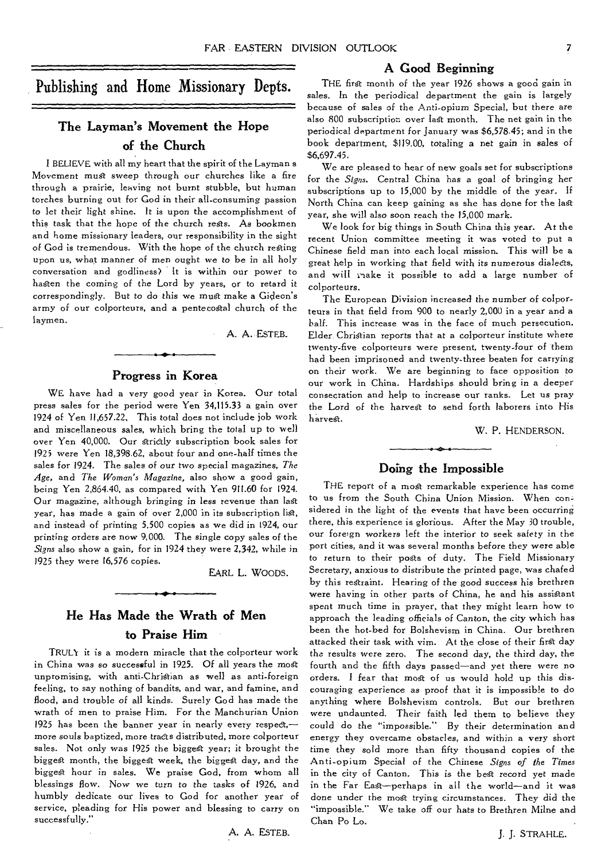## **A Good Beginning**

Publishing and Home Missionary Depts.

# **The Layman's Movement the Hope of the Church**

I BELIEVE with all my heart that the spirit of the Layman s Movement must sweep through our churches like a fire through a prairie, leaving not burnt stubble, but human torches burning out for God in their all-consuming passion to let their light shine. It is upon the accomplishment of this task that the hope of the church rests. As bookmen and home missionary leaders, our responsibility in the sight of God is tremendous. With the hope of the church resting upon us, what manner of men ought we to be in all holy conversation and godliness? It is within our power to hasten the coming of the Lord by years, or to retard it correspondingly. But to do this we must make a Gideon's army of our colporteurs, and a pentecostal church of the laymen.

A. A. ESTEB-

#### **Progress in Korea**

WE have had a *very* good year in Korea. Our total press sales for the period were Yen 34,115.33 a gain over 1924 of Yen 11,657.22, This total does not include job work and miscellaneous sales, which bring the total up to well over Yen 40,000. Our strictly subscription book sales for 1925 were Yen 18,398.62, about four and one-half times the sales for 1924. The sales of our two special magazines, *The Age,* and *The Woman's Magazine,* also show a good gain, being Yen 2,864.40, as compared with Yen 911.60 for 1924. Our magazine, although bringing in *less* revenue than lag year, has made a gain of over 2,000 in its subscription list, and instead of printing 5,500 copies as we did in 1924, our printing orders are now 9,000. The single copy sales of the *Signs* also show a gain, for in 1924 they were 2,342, while in 1925 they were 16,576 copies.

EARL L. WOODS.

A. A. ESTEB.

# **He Has Made the Wrath of Men to Praise Him**

TRULY it is a modern miracle that the colporteur work in China was so *successful in* 1925. Of all years the most unpromising, with anti-Christian as well as anti-foreign feeling, to say nothing of bandits, and war, and famine, and flood, and trouble of all kinds. Surely God has made the wrath of men to praise Him. For the Manchurian Union 1925 has been the banner year in nearly every respect, more *souls* baptized, more tracts distributed, more colporteur sales. Not only was 1925 the biggest year; it brought the biggest month, the biggest week, the biggest day, and the biggest hour in sales. We praise God, from whom all blessings flow. Now we turn to the tasks of 1926, and humbly dedicate our lives to God for another *year* of service, pleading for His power and blessing to carry on successfully."

THE first month of the year 1926 shows a good gain in sales. In the periodical department the gain is largely because of sales of the Anti-opium Special, but there are also 800 subscription over last month. The net gain in the periodical department for January was \$6,578.45; and in the book department, \$119.00, totaling a net gain in sales of \$6,697.45.

We are pleased to hear of new goals set for subscriptions for the *Signs.* Central China has a goal of bringing her subscriptions up to 15,000 by the middle of the year. If North China can keep gaining as she has done for the lag year, she will also soon reach the 15,000 mark.

We look for big things in South China this year. At the recent Union committee meeting it was voted to put a Chinese field man into each local mission. This will be a great help in working that field with its numerous dialects, and will rake it possible to add a large number of colporteurs.

The European Division increased the number of colporteurs in that field from 900 to nearly 2,000 in a year and a half. This increase was in the face of much persecution. Elder. Christian reports that at a colporteur institute where twenty-five colporteurs were present, twenty-four of them had been imprisoned and twenty-three beaten for carrying on their work. We are beginning to face opposition to our work in China. Hardships should bring in a deeper consecration and help to increase our ranks. Let us pray the Lord of the harvest to send forth laborers into His harvest.

W. P. HENDERSON.

#### **Doing the Impossible**

THE report of a most remarkable experience has come to us from the South China Union Mission. When considered in the light of the events that have been occurring there, this experience is glorious. After the May 30 trouble, our foreign workers left the interior to seek safety in the port cities, and it was several months before they were able to return to their posts of duty. The Field Missionary Secretary, anxious to distribute the printed page, was chafed by this restraint. Hearing of the good success his brethren were having in other parts of China, he and his assistant spent much time in prayer, that they might learn how to approach the leading officials of Canton, the city which has been the hot-bed for Bolshevism in China. Our brethren attacked their task with vim. At the close of their first day the results were zero. The second day, the third day, the fourth and the fifth days passed—and yet there were no orders. I fear that most of us would hold up this discouraging experience as proof that it is impossible to do anything where Bolshevism controls. But our brethren were undaunted. Their faith led them to believe they could do the "impossible." By their determination and energy they overcame obstacles, and within a very short time they sold more than fifty thousand copies of the Anti-opium Special of the Chinese *Signs of the Times*  in the city of Canton. This is the best record yet made in the Far East—perhaps in all the world—and it was done under the most trying circumstances. They did the "impossible." We take off our hats to Brethren Milne and Chan Po Lo.